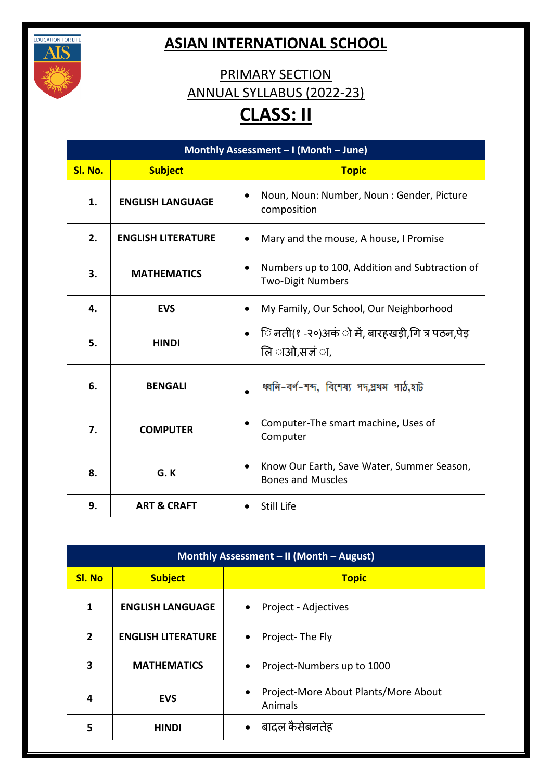

## **ASIAN INTERNATIONAL SCHOOL**

## PRIMARY SECTION ANNUAL SYLLABUS (2022-23) **CLASS: II**

| Monthly Assessment - I (Month - June) |                           |                                                                                         |
|---------------------------------------|---------------------------|-----------------------------------------------------------------------------------------|
| Sl. No.                               | <b>Subject</b>            | <b>Topic</b>                                                                            |
| 1.                                    | <b>ENGLISH LANGUAGE</b>   | Noun, Noun: Number, Noun: Gender, Picture<br>$\bullet$<br>composition                   |
| 2.                                    | <b>ENGLISH LITERATURE</b> | Mary and the mouse, A house, I Promise<br>$\bullet$                                     |
| 3.                                    | <b>MATHEMATICS</b>        | Numbers up to 100, Addition and Subtraction of<br>$\bullet$<br><b>Two-Digit Numbers</b> |
| 4.                                    | <b>EVS</b>                | My Family, Our School, Our Neighborhood                                                 |
| 5.                                    | <b>HINDI</b>              | ि नती(१ -२०)अकं ो में, बारहखड़ी,गि त्र पठन,पेड़<br>लि ाओ,सजं ा,                         |
| 6.                                    | <b>BENGALI</b>            | ধ্বনি-বৰ্ণ-শব্দ, বিশেষ্য পদ,প্ৰথম পাঠ,হাট                                               |
| 7.                                    | <b>COMPUTER</b>           | Computer-The smart machine, Uses of<br>Computer                                         |
| 8.                                    | G.K                       | Know Our Earth, Save Water, Summer Season,<br>$\bullet$<br><b>Bones and Muscles</b>     |
| 9.                                    | <b>ART &amp; CRAFT</b>    | Still Life                                                                              |

| Monthly Assessment - II (Month - August) |                           |                                                              |
|------------------------------------------|---------------------------|--------------------------------------------------------------|
| <b>SI. No</b>                            | <b>Subject</b>            | <b>Topic</b>                                                 |
| 1                                        | <b>ENGLISH LANGUAGE</b>   | Project - Adjectives<br>$\bullet$                            |
| $\overline{2}$                           | <b>ENGLISH LITERATURE</b> | Project-The Fly<br>$\bullet$                                 |
| 3                                        | <b>MATHEMATICS</b>        | Project-Numbers up to 1000<br>$\bullet$                      |
| 4                                        | <b>EVS</b>                | Project-More About Plants/More About<br>$\bullet$<br>Animals |
| 5                                        | <b>HINDI</b>              | बादल कैसेबनतेह<br>$\bullet$                                  |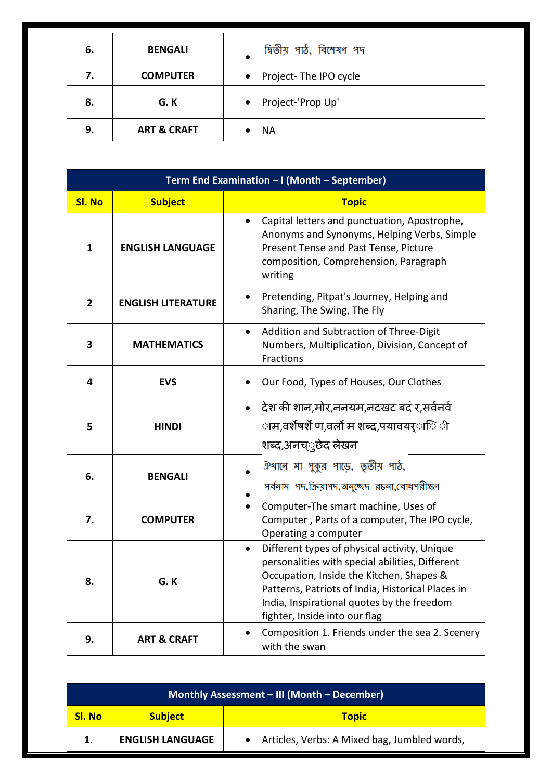| 6. | <b>BENGALI</b>         | দ্বিতীয় পাঠ, বিশেষণ পদ            |
|----|------------------------|------------------------------------|
| 7. | <b>COMPUTER</b>        | Project-The IPO cycle<br>$\bullet$ |
| 8. | G. K                   | Project-'Prop Up'<br>$\bullet$     |
| 9. | <b>ART &amp; CRAFT</b> | ΝA                                 |

| Term End Examination - I (Month - September) |                           |                                                                                                                                                                                                                                                                                              |
|----------------------------------------------|---------------------------|----------------------------------------------------------------------------------------------------------------------------------------------------------------------------------------------------------------------------------------------------------------------------------------------|
| <b>SI. No</b>                                | <b>Subject</b>            | <b>Topic</b>                                                                                                                                                                                                                                                                                 |
| $\mathbf{1}$                                 | <b>ENGLISH LANGUAGE</b>   | Capital letters and punctuation, Apostrophe,<br>$\bullet$<br>Anonyms and Synonyms, Helping Verbs, Simple<br>Present Tense and Past Tense, Picture<br>composition, Comprehension, Paragraph<br>writing                                                                                        |
| $\overline{2}$                               | <b>ENGLISH LITERATURE</b> | Pretending, Pitpat's Journey, Helping and<br>Sharing, The Swing, The Fly                                                                                                                                                                                                                     |
| 3                                            | <b>MATHEMATICS</b>        | Addition and Subtraction of Three-Digit<br>$\bullet$<br>Numbers, Multiplication, Division, Concept of<br>Fractions                                                                                                                                                                           |
| 4                                            | <b>EVS</b>                | Our Food, Types of Houses, Our Clothes                                                                                                                                                                                                                                                       |
| 5                                            | <b>HINDI</b>              | देश की शान,मोर,ननयम,नटखट बदं र,सर्वनर्व<br>$\bullet$<br>ाम,वर्शेषर्शे ण,वर्लो म शब्द,पयावयर <b>ा</b> ि ी<br>शब्द,अनच््छेद लेखन                                                                                                                                                               |
| 6.                                           | <b>BENGALI</b>            | ঐথানে মা পুকুর পাড়ে, তৃতীয় পাঠ,<br>সর্বনাম পদ, ক্রিয়াপদ, অনুচ্ছেদ রচনা, বোধপরীক্ষণ                                                                                                                                                                                                        |
| 7.                                           | <b>COMPUTER</b>           | Computer-The smart machine, Uses of<br>$\bullet$<br>Computer, Parts of a computer, The IPO cycle,<br>Operating a computer                                                                                                                                                                    |
| 8.                                           | G.K                       | Different types of physical activity, Unique<br>$\bullet$<br>personalities with special abilities, Different<br>Occupation, Inside the Kitchen, Shapes &<br>Patterns, Patriots of India, Historical Places in<br>India, Inspirational quotes by the freedom<br>fighter, Inside into our flag |
| 9.                                           | <b>ART &amp; CRAFT</b>    | Composition 1. Friends under the sea 2. Scenery<br>with the swan                                                                                                                                                                                                                             |

| Monthly Assessment - III (Month - December) |                         |                                              |
|---------------------------------------------|-------------------------|----------------------------------------------|
| Sl. No                                      | <b>Subject</b>          | <b>Topic</b>                                 |
|                                             | <b>ENGLISH LANGUAGE</b> | Articles, Verbs: A Mixed bag, Jumbled words, |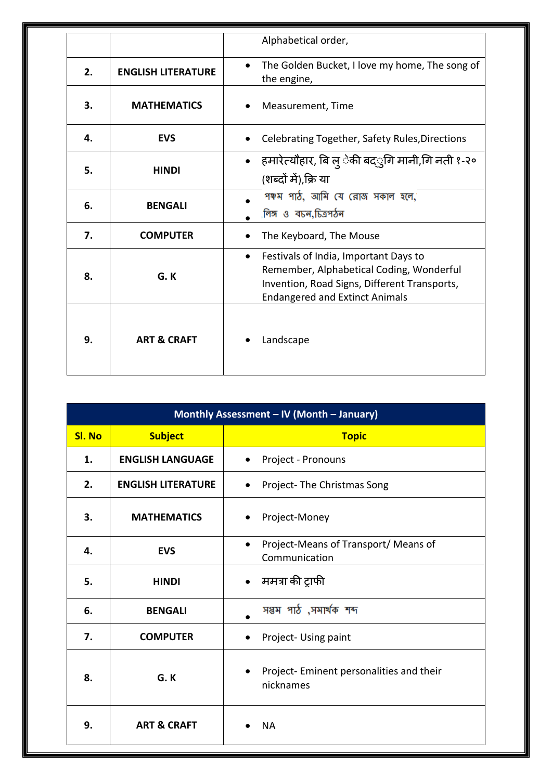|    |                           | Alphabetical order,                                                                                                                                                                     |
|----|---------------------------|-----------------------------------------------------------------------------------------------------------------------------------------------------------------------------------------|
| 2. | <b>ENGLISH LITERATURE</b> | The Golden Bucket, I love my home, The song of<br>$\bullet$<br>the engine,                                                                                                              |
| 3. | <b>MATHEMATICS</b>        | Measurement, Time                                                                                                                                                                       |
| 4. | <b>EVS</b>                | Celebrating Together, Safety Rules, Directions                                                                                                                                          |
| 5. | <b>HINDI</b>              | हमारेत्यौहार, बि लु ेकी बद्ुगि मानी,गि नती १-२०<br>$\bullet$<br>(शब्दों में),क्रि या                                                                                                    |
| 6. | <b>BENGALI</b>            | পঞ্চম পাঠ, আমি যে রোজ সকাল হলে,<br>,লিঙ্গ ও বচন,চিত্রপঠন                                                                                                                                |
| 7. | <b>COMPUTER</b>           | The Keyboard, The Mouse                                                                                                                                                                 |
| 8. | G.K                       | Festivals of India, Important Days to<br>$\bullet$<br>Remember, Alphabetical Coding, Wonderful<br>Invention, Road Signs, Different Transports,<br><b>Endangered and Extinct Animals</b> |
| 9. | <b>ART &amp; CRAFT</b>    | Landscape                                                                                                                                                                               |

| Monthly Assessment - IV (Month - January) |                           |                                                                    |
|-------------------------------------------|---------------------------|--------------------------------------------------------------------|
| <b>SI. No</b>                             | <b>Subject</b>            | <b>Topic</b>                                                       |
| 1.                                        | <b>ENGLISH LANGUAGE</b>   | Project - Pronouns                                                 |
| 2.                                        | <b>ENGLISH LITERATURE</b> | Project-The Christmas Song<br>$\bullet$                            |
| 3.                                        | <b>MATHEMATICS</b>        | Project-Money<br>$\bullet$                                         |
| 4.                                        | <b>EVS</b>                | Project-Means of Transport/ Means of<br>$\bullet$<br>Communication |
| 5.                                        | <b>HINDI</b>              | ममत्रा की ट्राफी<br>$\bullet$                                      |
| 6.                                        | <b>BENGALI</b>            | সপ্তম পাঠ ,সমাৰ্থক শব্দ                                            |
| 7.                                        | <b>COMPUTER</b>           | Project- Using paint                                               |
| 8.                                        | G.K                       | Project- Eminent personalities and their<br>nicknames              |
| 9.                                        | <b>ART &amp; CRAFT</b>    | <b>NA</b>                                                          |